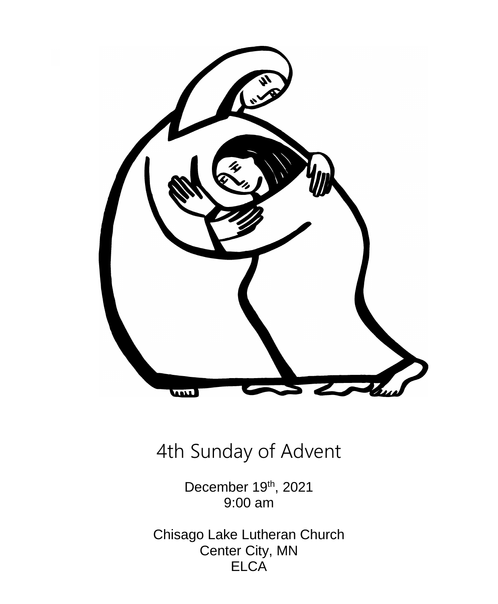

# 4th Sunday of Advent

December 19<sup>th</sup>, 2021 9:00 am

Chisago Lake Lutheran Church Center City, MN **ELCA**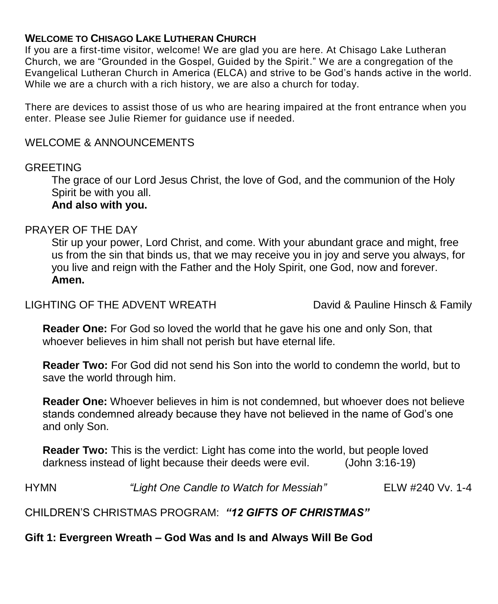#### **WELCOME TO CHISAGO LAKE LUTHERAN CHURCH**

If you are a first-time visitor, welcome! We are glad you are here. At Chisago Lake Lutheran Church, we are "Grounded in the Gospel, Guided by the Spirit." We are a congregation of the Evangelical Lutheran Church in America (ELCA) and strive to be God's hands active in the world. While we are a church with a rich history, we are also a church for today.

There are devices to assist those of us who are hearing impaired at the front entrance when you enter. Please see Julie Riemer for guidance use if needed.

#### WELCOME & ANNOUNCEMENTS

#### GREETING

The grace of our Lord Jesus Christ, the love of God, and the communion of the Holy Spirit be with you all.

# **And also with you.**

#### PRAYER OF THE DAY

Stir up your power, Lord Christ, and come. With your abundant grace and might, free us from the sin that binds us, that we may receive you in joy and serve you always, for you live and reign with the Father and the Holy Spirit, one God, now and forever. **Amen.**

LIGHTING OF THE ADVENT WREATH David & Pauline Hinsch & Family

**Reader One:** For God so loved the world that he gave his one and only Son, that whoever believes in him shall not perish but have eternal life.

**Reader Two:** For God did not send his Son into the world to condemn the world, but to save the world through him.

**Reader One:** Whoever believes in him is not condemned, but whoever does not believe stands condemned already because they have not believed in the name of God's one and only Son.

**Reader Two:** This is the verdict: Light has come into the world, but people loved darkness instead of light because their deeds were evil. (John 3:16-19)

HYMN *"Light One Candle to Watch for Messiah"* ELW #240 Vv. 1-4

CHILDREN'S CHRISTMAS PROGRAM: *"12 GIFTS OF CHRISTMAS"*

**Gift 1: Evergreen Wreath – God Was and Is and Always Will Be God**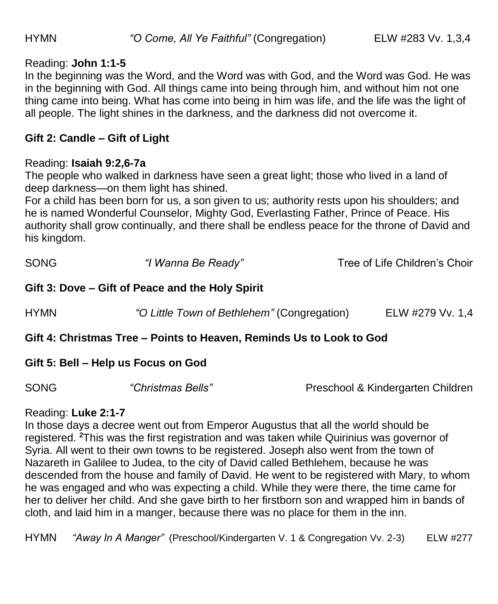#### Reading: **John 1:1-5**

In the beginning was the Word, and the Word was with God, and the Word was God. He was in the beginning with God. All things came into being through him, and without him not one thing came into being. What has come into being in him was life, and the life was the light of all people. The light shines in the darkness, and the darkness did not overcome it.

## **Gift 2: Candle – Gift of Light**

#### Reading: **Isaiah 9:2,6-7a**

The people who walked in darkness have seen a great light; those who lived in a land of deep darkness—on them light has shined.

For a child has been born for us, a son given to us; authority rests upon his shoulders; and he is named Wonderful Counselor, Mighty God, Everlasting Father, Prince of Peace. His authority shall grow continually, and there shall be endless peace for the throne of David and his kingdom.

| <b>SONG</b> | "I Wanna Be Ready" | Tree of Life Children's Choir |
|-------------|--------------------|-------------------------------|
|             |                    |                               |

#### **Gift 3: Dove – Gift of Peace and the Holy Spirit**

| <b>HYMN</b> |  | "O Little Town of Bethlehem" (Congregation) | ELW #279 Vv. 1.4 |
|-------------|--|---------------------------------------------|------------------|
|             |  |                                             |                  |

#### **Gift 4: Christmas Tree – Points to Heaven, Reminds Us to Look to God**

#### **Gift 5: Bell – Help us Focus on God**

SONG *"Christmas Bells"* Preschool & Kindergarten Children

#### Reading: **Luke 2:1-7**

In those days a decree went out from Emperor Augustus that all the world should be registered. **<sup>2</sup>**This was the first registration and was taken while Quirinius was governor of Syria. All went to their own towns to be registered. Joseph also went from the town of Nazareth in Galilee to Judea, to the city of David called Bethlehem, because he was descended from the house and family of David. He went to be registered with Mary, to whom he was engaged and who was expecting a child. While they were there, the time came for her to deliver her child. And she gave birth to her firstborn son and wrapped him in bands of cloth, and laid him in a manger, because there was no place for them in the inn.

HYMN *"Away In A Manger"* (Preschool/Kindergarten V. 1 & Congregation Vv. 2-3) ELW #277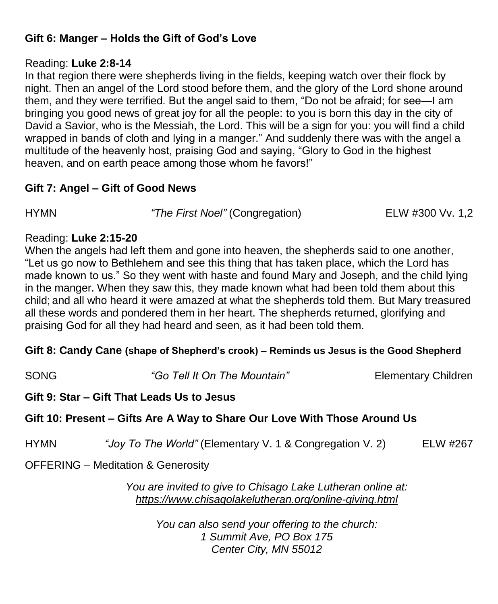# **Gift 6: Manger – Holds the Gift of God's Love**

#### Reading: **Luke 2:8-14**

In that region there were shepherds living in the fields, keeping watch over their flock by night. Then an angel of the Lord stood before them, and the glory of the Lord shone around them, and they were terrified. But the angel said to them, "Do not be afraid; for see—I am bringing you good news of great joy for all the people: to you is born this day in the city of David a Savior, who is the Messiah, the Lord. This will be a sign for you: you will find a child wrapped in bands of cloth and lying in a manger." And suddenly there was with the angel a multitude of the heavenly host, praising God and saying, "Glory to God in the highest heaven, and on earth peace among those whom he favors!"

## **Gift 7: Angel – Gift of Good News**

HYMN *"The First Noel"* (Congregation)ELW #300 Vv. 1,2

#### Reading: **Luke 2:15-20**

When the angels had left them and gone into heaven, the shepherds said to one another, "Let us go now to Bethlehem and see this thing that has taken place, which the Lord has made known to us." So they went with haste and found Mary and Joseph, and the child lying in the manger. When they saw this, they made known what had been told them about this child; and all who heard it were amazed at what the shepherds told them. But Mary treasured all these words and pondered them in her heart. The shepherds returned, glorifying and praising God for all they had heard and seen, as it had been told them.

#### **Gift 8: Candy Cane (shape of Shepherd's crook) – Reminds us Jesus is the Good Shepherd**

SONG *"Go Tell It On The Mountain"* Elementary Children

#### **Gift 9: Star – Gift That Leads Us to Jesus**

#### **Gift 10: Present – Gifts Are A Way to Share Our Love With Those Around Us**

HYMN *"Joy To The World"* (Elementary V. 1 & Congregation V. 2)ELW #267

OFFERING – Meditation & Generosity

*You are invited to give to Chisago Lake Lutheran online at: <https://www.chisagolakelutheran.org/online-giving.html>*

> *You can also send your offering to the church: 1 Summit Ave, PO Box 175 Center City, MN 55012*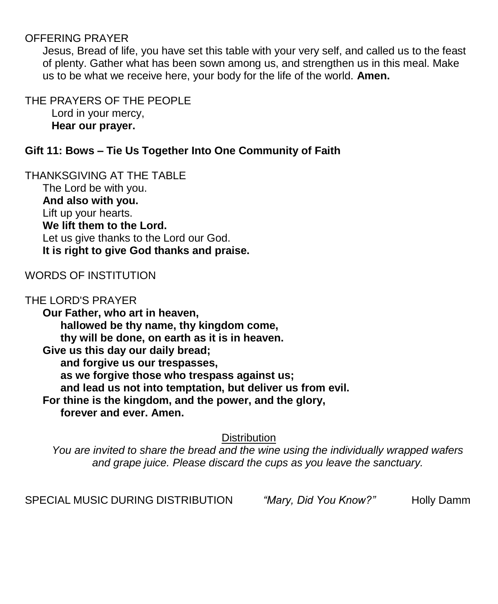#### OFFERING PRAYER

Jesus, Bread of life, you have set this table with your very self, and called us to the feast of plenty. Gather what has been sown among us, and strengthen us in this meal. Make us to be what we receive here, your body for the life of the world. **Amen.**

THE PRAYERS OF THE PEOPLE Lord in your mercy, **Hear our prayer.**

## **Gift 11: Bows – Tie Us Together Into One Community of Faith**

THANKSGIVING AT THE TABLE The Lord be with you. **And also with you.** Lift up your hearts. **We lift them to the Lord.** Let us give thanks to the Lord our God. **It is right to give God thanks and praise.**

#### WORDS OF INSTITUTION

#### THE LORD'S PRAYER

**Our Father, who art in heaven, hallowed be thy name, thy kingdom come, thy will be done, on earth as it is in heaven. Give us this day our daily bread; and forgive us our trespasses, as we forgive those who trespass against us; and lead us not into temptation, but deliver us from evil. For thine is the kingdom, and the power, and the glory, forever and ever. Amen.**

**Distribution** 

*You are invited to share the bread and the wine using the individually wrapped wafers and grape juice. Please discard the cups as you leave the sanctuary.*

SPECIAL MUSIC DURING DISTRIBUTION *"Mary, Did You Know?"* Holly Damm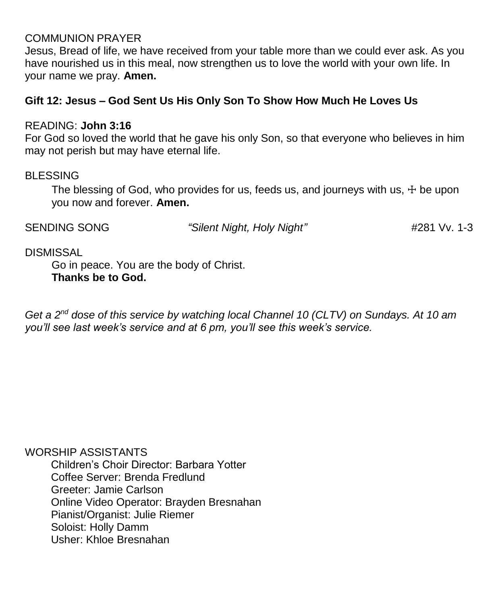#### COMMUNION PRAYER

Jesus, Bread of life, we have received from your table more than we could ever ask. As you have nourished us in this meal, now strengthen us to love the world with your own life. In your name we pray. **Amen.**

## **Gift 12: Jesus – God Sent Us His Only Son To Show How Much He Loves Us**

#### READING: **John 3:16**

For God so loved the world that he gave his only Son, so that everyone who believes in him may not perish but may have eternal life.

#### BLESSING

The blessing of God, who provides for us, feeds us, and journeys with us,  $\pm$  be upon you now and forever. **Amen.**

SENDING SONG *"Silent Night, Holy Night"* #281 Vv. 1-3

#### DISMISSAL

Go in peace. You are the body of Christ. **Thanks be to God.**

*Get a 2nd dose of this service by watching local Channel 10 (CLTV) on Sundays. At 10 am you'll see last week's service and at 6 pm, you'll see this week's service.*

WORSHIP ASSISTANTS

Children's Choir Director: Barbara Yotter Coffee Server: Brenda Fredlund Greeter: Jamie Carlson Online Video Operator: Brayden Bresnahan Pianist/Organist: Julie Riemer Soloist: Holly Damm Usher: Khloe Bresnahan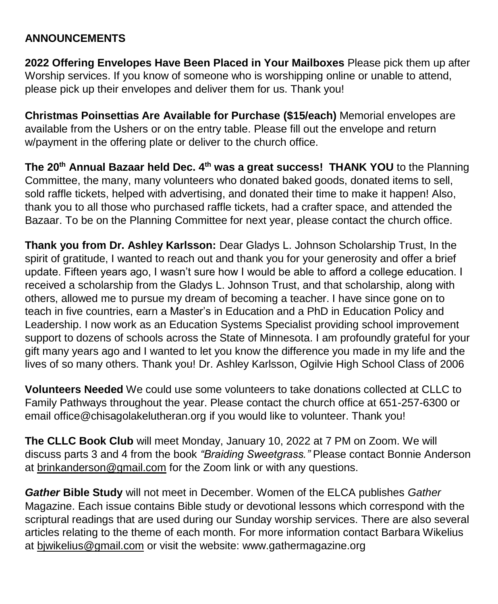## **ANNOUNCEMENTS**

**2022 Offering Envelopes Have Been Placed in Your Mailboxes** Please pick them up after Worship services. If you know of someone who is worshipping online or unable to attend, please pick up their envelopes and deliver them for us. Thank you!

**Christmas Poinsettias Are Available for Purchase (\$15/each)** Memorial envelopes are available from the Ushers or on the entry table. Please fill out the envelope and return w/payment in the offering plate or deliver to the church office.

**The 20th Annual Bazaar held Dec. 4th was a great success! THANK YOU** to the Planning Committee, the many, many volunteers who donated baked goods, donated items to sell, sold raffle tickets, helped with advertising, and donated their time to make it happen! Also, thank you to all those who purchased raffle tickets, had a crafter space, and attended the Bazaar. To be on the Planning Committee for next year, please contact the church office.

**Thank you from Dr. Ashley Karlsson:** Dear Gladys L. Johnson Scholarship Trust, In the spirit of gratitude, I wanted to reach out and thank you for your generosity and offer a brief update. Fifteen years ago, I wasn't sure how I would be able to afford a college education. I received a scholarship from the Gladys L. Johnson Trust, and that scholarship, along with others, allowed me to pursue my dream of becoming a teacher. I have since gone on to teach in five countries, earn a Master's in Education and a PhD in Education Policy and Leadership. I now work as an Education Systems Specialist providing school improvement support to dozens of schools across the State of Minnesota. I am profoundly grateful for your gift many years ago and I wanted to let you know the difference you made in my life and the lives of so many others. Thank you! Dr. Ashley Karlsson, Ogilvie High School Class of 2006

**Volunteers Needed** We could use some volunteers to take donations collected at CLLC to Family Pathways throughout the year. Please contact the church office at 651-257-6300 or email [office@chisagolakelutheran.org](mailto:office@chisagolakelutheran.org) if you would like to volunteer. Thank you!

**The CLLC Book Club** will meet Monday, January 10, 2022 at 7 PM on Zoom. We will discuss parts 3 and 4 from the book *"Braiding Sweetgrass."* Please contact Bonnie Anderson at [brinkanderson@gmail.com](mailto:brinkanderson@gmail.com) for the Zoom link or with any questions.

*Gather* **Bible Study** will not meet in December. Women of the ELCA publishes *Gather*  Magazine. Each issue contains Bible study or devotional lessons which correspond with the scriptural readings that are used during our Sunday worship services. There are also several articles relating to the theme of each month. For more information contact Barbara Wikelius at [bjwikelius@gmail.com](mailto:bjwikelius@gmail.com) or visit the website: [www.gathermagazine.org](http://www.gathermagazine.org/)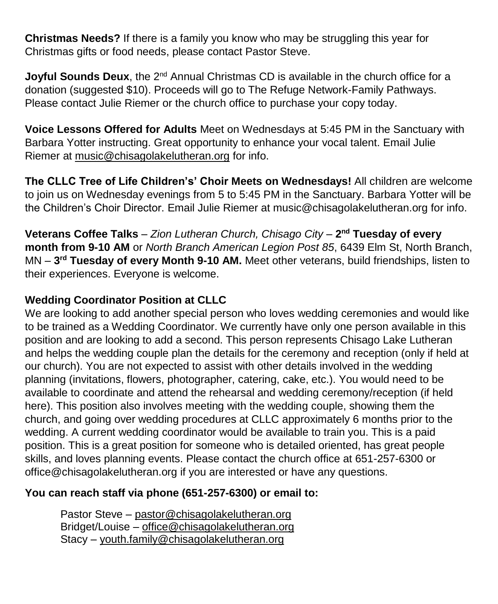**Christmas Needs?** If there is a family you know who may be struggling this year for Christmas gifts or food needs, please contact Pastor Steve.

**Joyful Sounds Deux**, the 2<sup>nd</sup> Annual Christmas CD is available in the church office for a donation (suggested \$10). Proceeds will go to The Refuge Network-Family Pathways. Please contact Julie Riemer or the church office to purchase your copy today.

**Voice Lessons Offered for Adults** Meet on Wednesdays at 5:45 PM in the Sanctuary with Barbara Yotter instructing. Great opportunity to enhance your vocal talent. Email Julie Riemer at [music@chisagolakelutheran.org](mailto:music@chisagolakelutheran.org) for info.

**The CLLC Tree of Life Children's' Choir Meets on Wednesdays!** All children are welcome to join us on Wednesday evenings from 5 to 5:45 PM in the Sanctuary. Barbara Yotter will be the Children's Choir Director. Email Julie Riemer at [music@chisagolakelutheran.org](mailto:music@chisagolakelutheran.org) for info.

**Veterans Coffee Talks** – *Zion Lutheran Church, Chisago City* – **2 nd Tuesday of every month from 9-10 AM** or *North Branch American Legion Post 85*, 6439 Elm St, North Branch, MN – **3 rd Tuesday of every Month 9-10 AM.** Meet other veterans, build friendships, listen to their experiences. Everyone is welcome.

# **Wedding Coordinator Position at CLLC**

We are looking to add another special person who loves wedding ceremonies and would like to be trained as a Wedding Coordinator. We currently have only one person available in this position and are looking to add a second. This person represents Chisago Lake Lutheran and helps the wedding couple plan the details for the ceremony and reception (only if held at our church). You are not expected to assist with other details involved in the wedding planning (invitations, flowers, photographer, catering, cake, etc.). You would need to be available to coordinate and attend the rehearsal and wedding ceremony/reception (if held here). This position also involves meeting with the wedding couple, showing them the church, and going over wedding procedures at CLLC approximately 6 months prior to the wedding. A current wedding coordinator would be available to train you. This is a paid position. This is a great position for someone who is detailed oriented, has great people skills, and loves planning events. Please contact the church office at 651-257-6300 or office@chisagolakelutheran.org if you are interested or have any questions.

# **You can reach staff via phone (651-257-6300) or email to:**

Pastor Steve – [pastor@chisagolakelutheran.org](mailto:pastor@chisagolakelutheran.org) Bridget/Louise – [office@chisagolakelutheran.org](mailto:office@chisagolakelutheran.org) Stacy – [youth.family@chisagolakelutheran.org](mailto:youth.family@chisagolakelutheran.org)